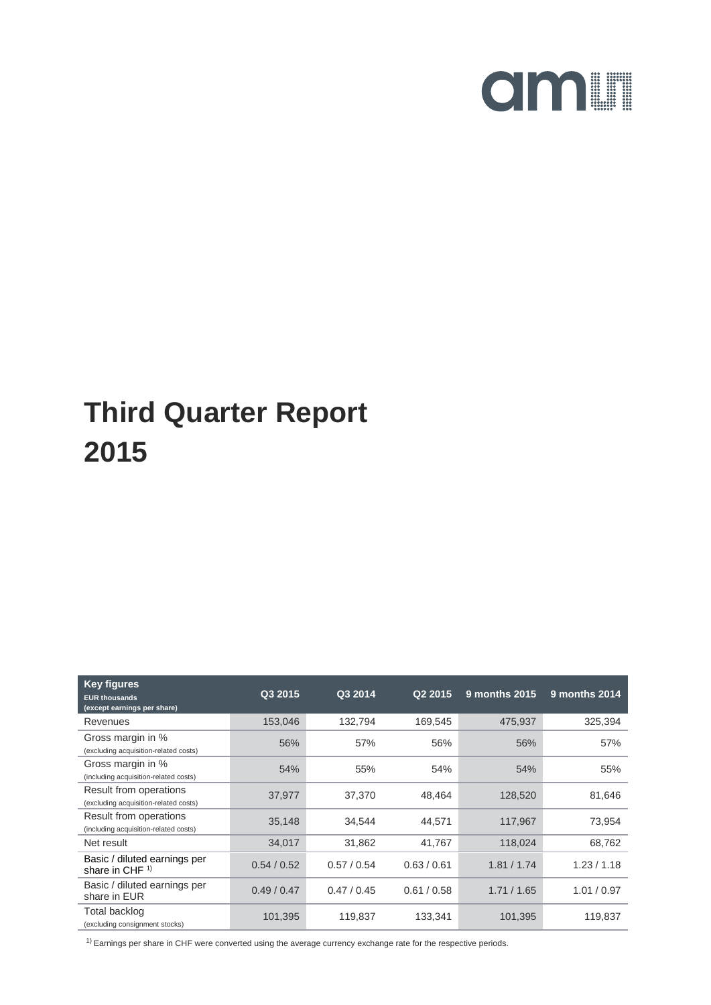

| <b>Key figures</b><br><b>EUR thousands</b><br>(except earnings per share) | Q3 2015     | Q3 2014   | Q2 2015     | 9 months 2015 | 9 months 2014 |
|---------------------------------------------------------------------------|-------------|-----------|-------------|---------------|---------------|
| Revenues                                                                  | 153,046     | 132,794   | 169,545     | 475,937       | 325,394       |
| Gross margin in %<br>(excluding acquisition-related costs)                | 56%         | 57%       | 56%         | 56%           | 57%           |
| Gross margin in %<br>(including acquisition-related costs)                | 54%         | 55%       | 54%         | 54%           | 55%           |
| Result from operations<br>(excluding acquisition-related costs)           | 37,977      | 37,370    | 48,464      | 128,520       | 81,646        |
| Result from operations<br>(including acquisition-related costs)           | 35,148      | 34,544    | 44,571      | 117,967       | 73,954        |
| Net result                                                                | 34,017      | 31,862    | 41,767      | 118,024       | 68,762        |
| Basic / diluted earnings per<br>share in CHF <sup>1)</sup>                | 0.54 / 0.52 | 0.57/0.54 | 0.63 / 0.61 | 1.81 / 1.74   | 1.23/1.18     |
| Basic / diluted earnings per<br>share in EUR                              | 0.49/0.47   | 0.47/0.45 | 0.61 / 0.58 | 1.71/1.65     | 1.01 / 0.97   |
| Total backlog<br>(excluding consignment stocks)                           | 101,395     | 119,837   | 133,341     | 101,395       | 119,837       |

 $1)$  Earnings per share in CHF were converted using the average currency exchange rate for the respective periods.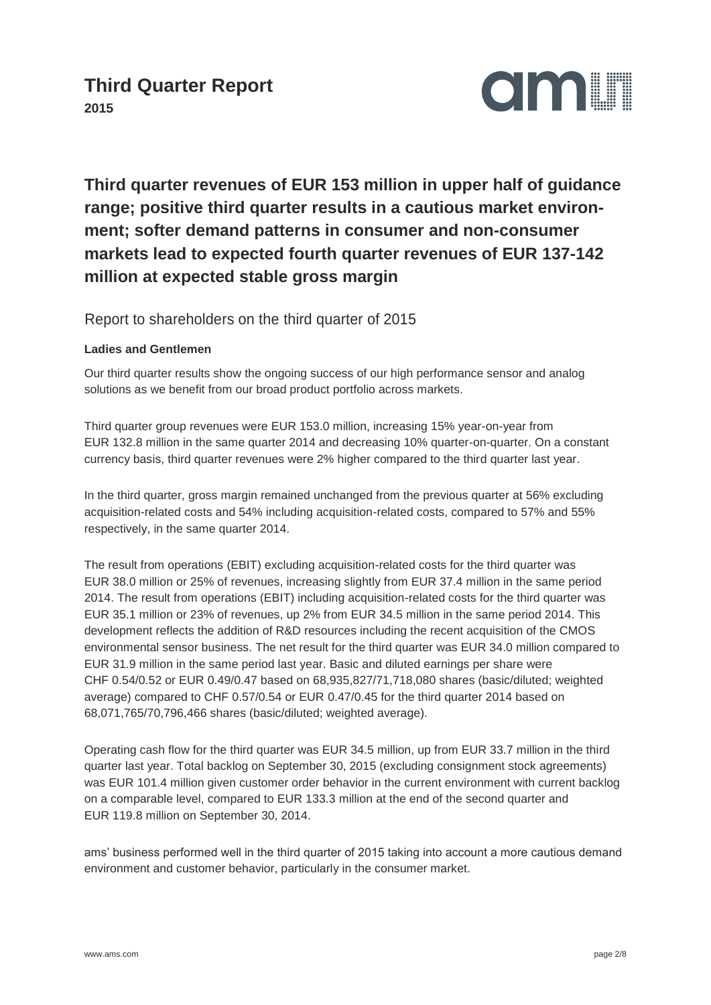

### **Third quarter revenues of EUR 153 million in upper half of guidance range; positive third quarter results in a cautious market environment; softer demand patterns in consumer and non-consumer markets lead to expected fourth quarter revenues of EUR 137-142 million at expected stable gross margin**

Report to shareholders on the third quarter of 2015

#### **Ladies and Gentlemen**

Our third quarter results show the ongoing success of our high performance sensor and analog solutions as we benefit from our broad product portfolio across markets.

Third quarter group revenues were EUR 153.0 million, increasing 15% year-on-year from EUR 132.8 million in the same quarter 2014 and decreasing 10% quarter-on-quarter. On a constant currency basis, third quarter revenues were 2% higher compared to the third quarter last year.

In the third quarter, gross margin remained unchanged from the previous quarter at 56% excluding acquisition-related costs and 54% including acquisition-related costs, compared to 57% and 55% respectively, in the same quarter 2014.

The result from operations (EBIT) excluding acquisition-related costs for the third quarter was EUR 38.0 million or 25% of revenues, increasing slightly from EUR 37.4 million in the same period 2014. The result from operations (EBIT) including acquisition-related costs for the third quarter was EUR 35.1 million or 23% of revenues, up 2% from EUR 34.5 million in the same period 2014. This development reflects the addition of R&D resources including the recent acquisition of the CMOS environmental sensor business. The net result for the third quarter was EUR 34.0 million compared to EUR 31.9 million in the same period last year. Basic and diluted earnings per share were CHF 0.54/0.52 or EUR 0.49/0.47 based on 68,935,827/71,718,080 shares (basic/diluted; weighted average) compared to CHF 0.57/0.54 or EUR 0.47/0.45 for the third quarter 2014 based on 68,071,765/70,796,466 shares (basic/diluted; weighted average).

Operating cash flow for the third quarter was EUR 34.5 million, up from EUR 33.7 million in the third quarter last year. Total backlog on September 30, 2015 (excluding consignment stock agreements) was EUR 101.4 million given customer order behavior in the current environment with current backlog on a comparable level, compared to EUR 133.3 million at the end of the second quarter and EUR 119.8 million on September 30, 2014.

ams' business performed well in the third quarter of 2015 taking into account a more cautious demand environment and customer behavior, particularly in the consumer market.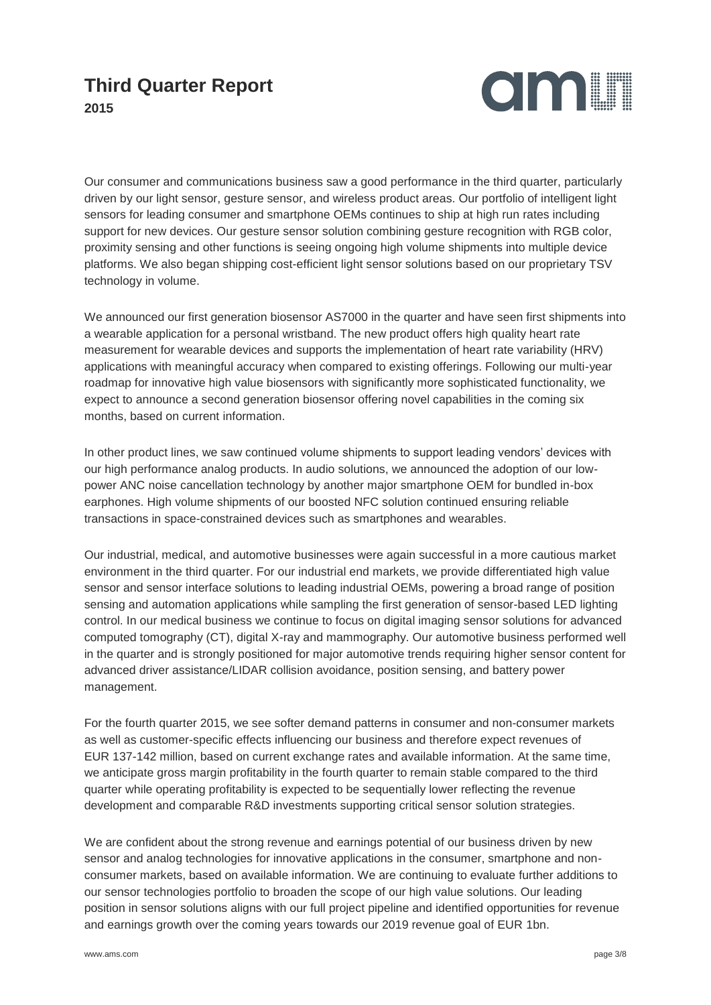

Our consumer and communications business saw a good performance in the third quarter, particularly driven by our light sensor, gesture sensor, and wireless product areas. Our portfolio of intelligent light sensors for leading consumer and smartphone OEMs continues to ship at high run rates including support for new devices. Our gesture sensor solution combining gesture recognition with RGB color, proximity sensing and other functions is seeing ongoing high volume shipments into multiple device platforms. We also began shipping cost-efficient light sensor solutions based on our proprietary TSV technology in volume.

We announced our first generation biosensor AS7000 in the quarter and have seen first shipments into a wearable application for a personal wristband. The new product offers high quality heart rate measurement for wearable devices and supports the implementation of heart rate variability (HRV) applications with meaningful accuracy when compared to existing offerings. Following our multi-year roadmap for innovative high value biosensors with significantly more sophisticated functionality, we expect to announce a second generation biosensor offering novel capabilities in the coming six months, based on current information.

In other product lines, we saw continued volume shipments to support leading vendors' devices with our high performance analog products. In audio solutions, we announced the adoption of our lowpower ANC noise cancellation technology by another major smartphone OEM for bundled in-box earphones. High volume shipments of our boosted NFC solution continued ensuring reliable transactions in space-constrained devices such as smartphones and wearables.

Our industrial, medical, and automotive businesses were again successful in a more cautious market environment in the third quarter. For our industrial end markets, we provide differentiated high value sensor and sensor interface solutions to leading industrial OEMs, powering a broad range of position sensing and automation applications while sampling the first generation of sensor-based LED lighting control. In our medical business we continue to focus on digital imaging sensor solutions for advanced computed tomography (CT), digital X-ray and mammography. Our automotive business performed well in the quarter and is strongly positioned for major automotive trends requiring higher sensor content for advanced driver assistance/LIDAR collision avoidance, position sensing, and battery power management.

For the fourth quarter 2015, we see softer demand patterns in consumer and non-consumer markets as well as customer-specific effects influencing our business and therefore expect revenues of EUR 137-142 million, based on current exchange rates and available information. At the same time, we anticipate gross margin profitability in the fourth quarter to remain stable compared to the third quarter while operating profitability is expected to be sequentially lower reflecting the revenue development and comparable R&D investments supporting critical sensor solution strategies.

We are confident about the strong revenue and earnings potential of our business driven by new sensor and analog technologies for innovative applications in the consumer, smartphone and nonconsumer markets, based on available information. We are continuing to evaluate further additions to our sensor technologies portfolio to broaden the scope of our high value solutions. Our leading position in sensor solutions aligns with our full project pipeline and identified opportunities for revenue and earnings growth over the coming years towards our 2019 revenue goal of EUR 1bn.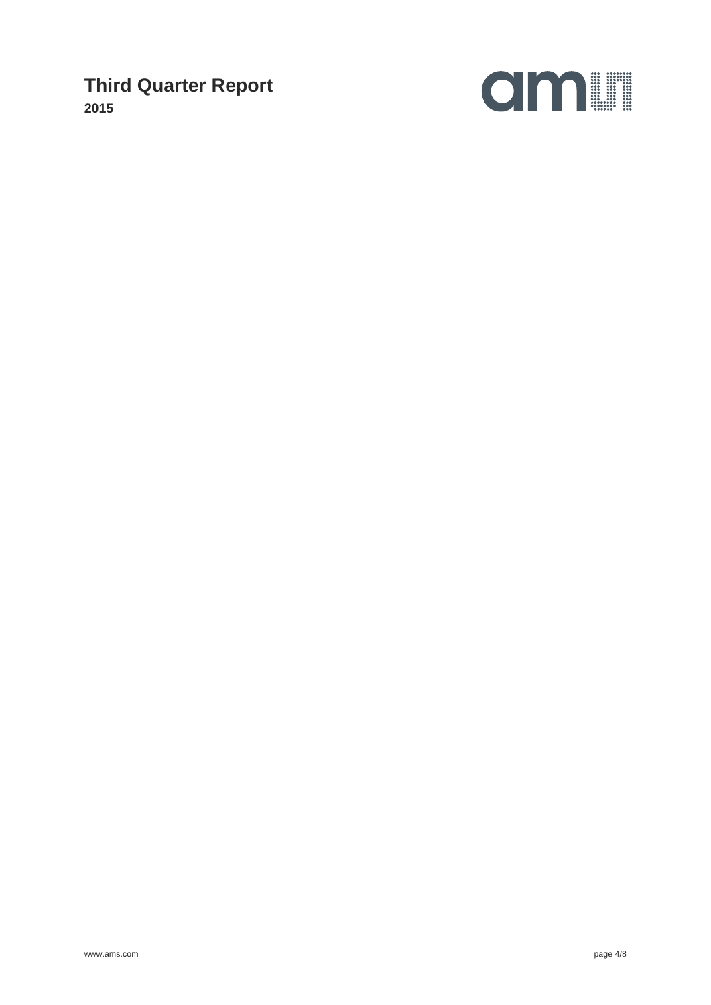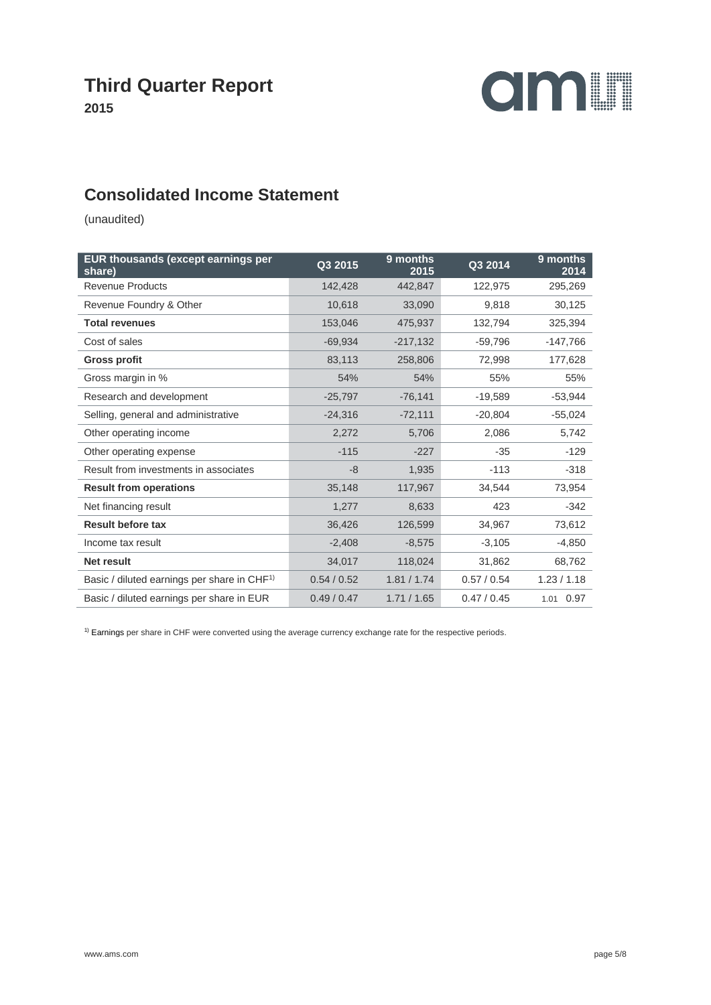

#### **2015**

#### **Consolidated Income Statement**

(unaudited)

| EUR thousands (except earnings per<br>share)            | Q3 2015   | 9 months<br>2015 | Q3 2014     | 9 months<br>2014 |
|---------------------------------------------------------|-----------|------------------|-------------|------------------|
| <b>Revenue Products</b>                                 | 142,428   | 442,847          | 122,975     | 295,269          |
| Revenue Foundry & Other                                 | 10,618    | 33,090           | 9,818       | 30,125           |
| <b>Total revenues</b>                                   | 153,046   | 475,937          | 132,794     | 325,394          |
| Cost of sales                                           | $-69,934$ | $-217,132$       | $-59,796$   | $-147,766$       |
| <b>Gross profit</b>                                     | 83,113    | 258,806          | 72,998      | 177,628          |
| Gross margin in %                                       | 54%       | 54%              | 55%         | 55%              |
| Research and development                                | $-25,797$ | $-76,141$        | $-19,589$   | $-53,944$        |
| Selling, general and administrative                     | $-24,316$ | $-72,111$        | $-20.804$   | $-55,024$        |
| Other operating income                                  | 2,272     | 5,706            | 2,086       | 5,742            |
| Other operating expense                                 | $-115$    | $-227$           | $-35$       | $-129$           |
| Result from investments in associates                   | $-8$      | 1,935            | $-113$      | $-318$           |
| <b>Result from operations</b>                           | 35,148    | 117,967          | 34,544      | 73,954           |
| Net financing result                                    | 1,277     | 8,633            | 423         | $-342$           |
| <b>Result before tax</b>                                | 36,426    | 126,599          | 34,967      | 73,612           |
| Income tax result                                       | $-2,408$  | $-8,575$         | $-3,105$    | $-4,850$         |
| Net result                                              | 34,017    | 118,024          | 31,862      | 68,762           |
| Basic / diluted earnings per share in CHF <sup>1)</sup> | 0.54/0.52 | 1.81 / 1.74      | 0.57 / 0.54 | 1.23/1.18        |
| Basic / diluted earnings per share in EUR               | 0.49/0.47 | 1.71/1.65        | 0.47/0.45   | 1.01 0.97        |

<sup>1)</sup> Earnings per share in CHF were converted using the average currency exchange rate for the respective periods.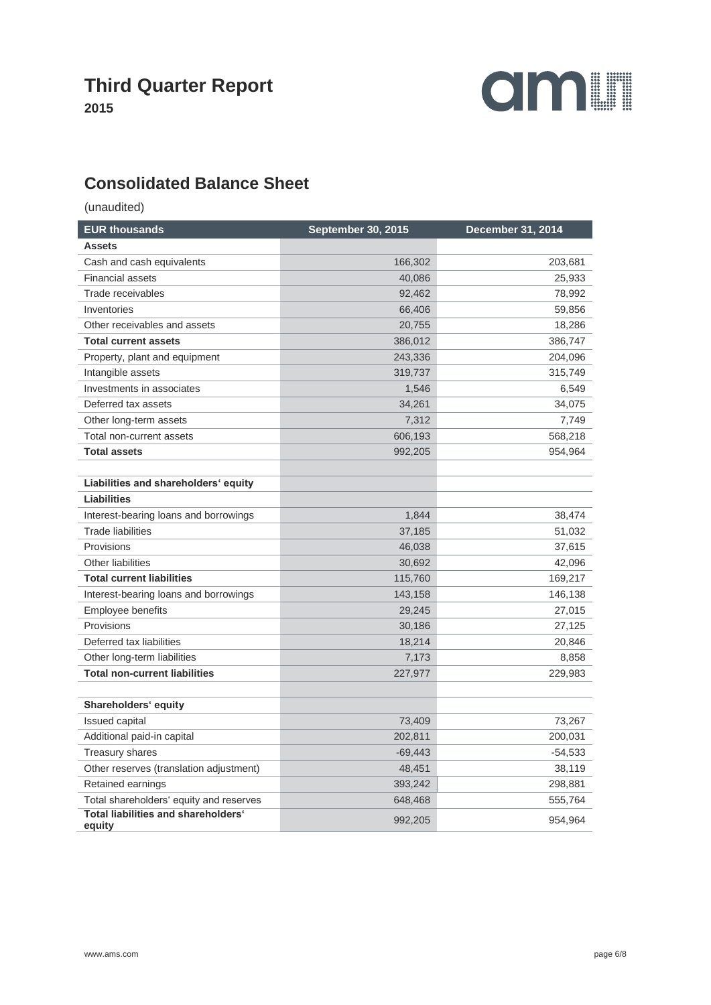**2015**



#### **Consolidated Balance Sheet**

(unaudited)

| <b>EUR thousands</b>                          | <b>September 30, 2015</b> | December 31, 2014 |
|-----------------------------------------------|---------------------------|-------------------|
| <b>Assets</b>                                 |                           |                   |
| Cash and cash equivalents                     | 166,302                   | 203,681           |
| <b>Financial assets</b>                       | 40,086                    | 25,933            |
| Trade receivables                             | 92,462                    | 78,992            |
| Inventories                                   | 66,406                    | 59,856            |
| Other receivables and assets                  | 20,755                    | 18,286            |
| <b>Total current assets</b>                   | 386,012                   | 386,747           |
| Property, plant and equipment                 | 243,336                   | 204,096           |
| Intangible assets                             | 319,737                   | 315,749           |
| Investments in associates                     | 1,546                     | 6,549             |
| Deferred tax assets                           | 34,261                    | 34,075            |
| Other long-term assets                        | 7,312                     | 7,749             |
| Total non-current assets                      | 606,193                   | 568,218           |
| <b>Total assets</b>                           | 992,205                   | 954,964           |
|                                               |                           |                   |
| Liabilities and shareholders' equity          |                           |                   |
| <b>Liabilities</b>                            |                           |                   |
| Interest-bearing loans and borrowings         | 1,844                     | 38,474            |
| <b>Trade liabilities</b>                      | 37,185                    | 51,032            |
| Provisions                                    | 46,038                    | 37,615            |
| <b>Other liabilities</b>                      | 30,692                    | 42,096            |
| <b>Total current liabilities</b>              | 115,760                   | 169,217           |
| Interest-bearing loans and borrowings         | 143,158                   | 146,138           |
| Employee benefits                             | 29,245                    | 27,015            |
| Provisions                                    | 30,186                    | 27,125            |
| Deferred tax liabilities                      | 18,214                    | 20,846            |
| Other long-term liabilities                   | 7,173                     | 8,858             |
| <b>Total non-current liabilities</b>          | 227,977                   | 229,983           |
|                                               |                           |                   |
| Shareholders' equity                          |                           |                   |
| <b>Issued capital</b>                         | 73,409                    | 73,267            |
| Additional paid-in capital                    | 202,811                   | 200,031           |
| Treasury shares                               | $-69,443$                 | -54,533           |
| Other reserves (translation adjustment)       | 48,451                    | 38,119            |
| Retained earnings                             | 393,242                   | 298,881           |
| Total shareholders' equity and reserves       | 648,468                   | 555,764           |
| Total liabilities and shareholders'<br>equity | 992,205                   | 954,964           |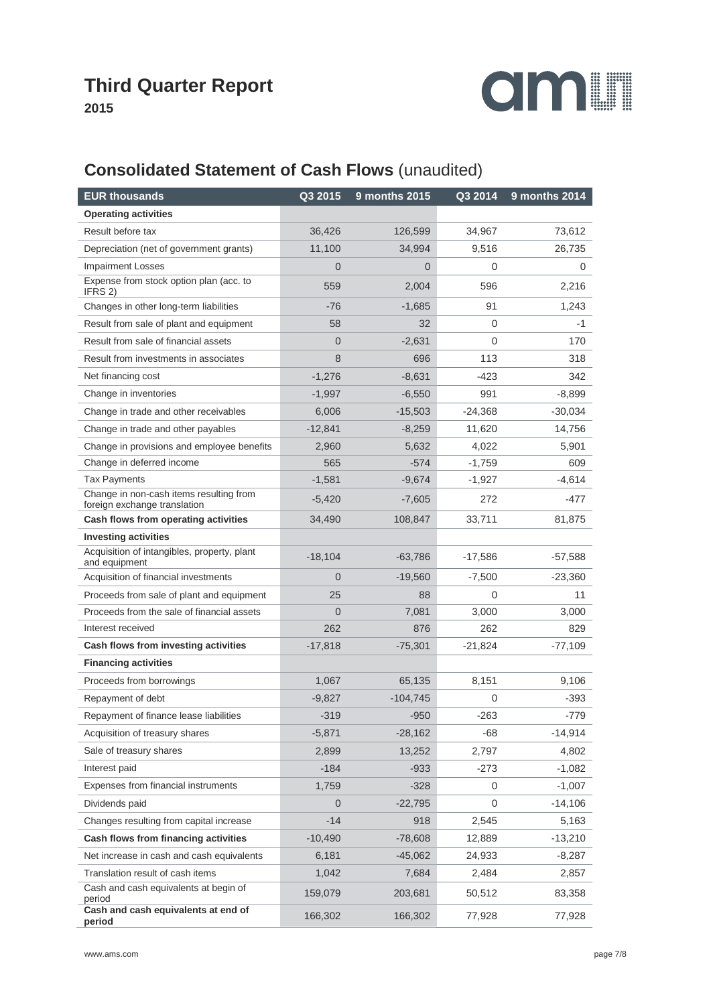



### **Consolidated Statement of Cash Flows** (unaudited)

| <b>EUR thousands</b>                                                    | Q3 2015        | 9 months 2015 | Q3 2014   | 9 months 2014 |
|-------------------------------------------------------------------------|----------------|---------------|-----------|---------------|
| <b>Operating activities</b>                                             |                |               |           |               |
| Result before tax                                                       | 36,426         | 126,599       | 34,967    | 73,612        |
| Depreciation (net of government grants)                                 | 11,100         | 34,994        | 9,516     | 26,735        |
| <b>Impairment Losses</b>                                                | $\Omega$       | $\Omega$      | 0         | 0             |
| Expense from stock option plan (acc. to<br>IFRS 2)                      | 559            | 2,004         | 596       | 2,216         |
| Changes in other long-term liabilities                                  | $-76$          | $-1,685$      | 91        | 1.243         |
| Result from sale of plant and equipment                                 | 58             | 32            | 0         | -1            |
| Result from sale of financial assets                                    | $\overline{0}$ | $-2,631$      | 0         | 170           |
| Result from investments in associates                                   | 8              | 696           | 113       | 318           |
| Net financing cost                                                      | $-1,276$       | $-8,631$      | $-423$    | 342           |
| Change in inventories                                                   | $-1,997$       | $-6,550$      | 991       | -8,899        |
| Change in trade and other receivables                                   | 6,006          | $-15,503$     | $-24,368$ | $-30,034$     |
| Change in trade and other payables                                      | $-12,841$      | $-8,259$      | 11,620    | 14,756        |
| Change in provisions and employee benefits                              | 2,960          | 5,632         | 4,022     | 5,901         |
| Change in deferred income                                               | 565            | $-574$        | $-1,759$  | 609           |
| <b>Tax Payments</b>                                                     | $-1,581$       | $-9,674$      | $-1,927$  | $-4,614$      |
| Change in non-cash items resulting from<br>foreign exchange translation | $-5,420$       | $-7.605$      | 272       | -477          |
| Cash flows from operating activities                                    | 34,490         | 108,847       | 33,711    | 81,875        |
| <b>Investing activities</b>                                             |                |               |           |               |
| Acquisition of intangibles, property, plant<br>and equipment            | $-18,104$      | $-63,786$     | $-17,586$ | $-57,588$     |
| Acquisition of financial investments                                    | $\Omega$       | $-19,560$     | $-7,500$  | $-23,360$     |
| Proceeds from sale of plant and equipment                               | 25             | 88            | 0         | 11            |
| Proceeds from the sale of financial assets                              | $\Omega$       | 7,081         | 3,000     | 3,000         |
| Interest received                                                       | 262            | 876           | 262       | 829           |
| Cash flows from investing activities                                    | $-17,818$      | $-75,301$     | $-21,824$ | $-77,109$     |
| <b>Financing activities</b>                                             |                |               |           |               |
| Proceeds from borrowings                                                | 1,067          | 65,135        | 8,151     | 9,106         |
| Repayment of debt                                                       | $-9,827$       | $-104,745$    | 0         | -393          |
| Repayment of finance lease liabilities                                  | $-319$         | -950          | $-263$    | $-779$        |
| Acquisition of treasury shares                                          | $-5,871$       | $-28,162$     | $-68$     | $-14,914$     |
| Sale of treasury shares                                                 | 2,899          | 13,252        | 2,797     | 4,802         |
| Interest paid                                                           | $-184$         | $-933$        | $-273$    | $-1,082$      |
| Expenses from financial instruments                                     | 1,759          | $-328$        | 0         | $-1,007$      |
| Dividends paid                                                          | $\Omega$       | $-22,795$     | 0         | $-14,106$     |
| Changes resulting from capital increase                                 | $-14$          | 918           | 2,545     | 5,163         |
| Cash flows from financing activities                                    | $-10,490$      | $-78,608$     | 12,889    | $-13,210$     |
| Net increase in cash and cash equivalents                               | 6,181          | $-45,062$     | 24,933    | $-8,287$      |
| Translation result of cash items                                        | 1,042          | 7,684         | 2,484     | 2,857         |
| Cash and cash equivalents at begin of<br>period                         | 159,079        | 203,681       | 50,512    | 83,358        |
| Cash and cash equivalents at end of<br>period                           | 166,302        | 166,302       | 77,928    | 77,928        |